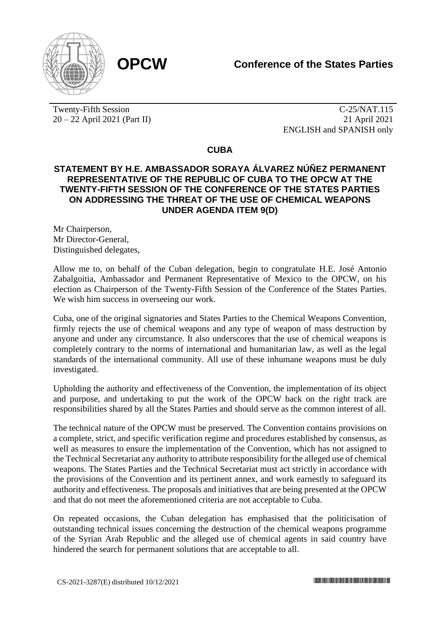

Twenty-Fifth Session 20 – 22 April 2021 (Part II)

C-25/NAT.115 21 April 2021 ENGLISH and SPANISH only

**CUBA**

## **STATEMENT BY H.E. AMBASSADOR SORAYA ÁLVAREZ NÚÑEZ PERMANENT REPRESENTATIVE OF THE REPUBLIC OF CUBA TO THE OPCW AT THE TWENTY-FIFTH SESSION OF THE CONFERENCE OF THE STATES PARTIES ON ADDRESSING THE THREAT OF THE USE OF CHEMICAL WEAPONS UNDER AGENDA ITEM 9(D)**

Mr Chairperson, Mr Director-General, Distinguished delegates,

Allow me to, on behalf of the Cuban delegation, begin to congratulate H.E. José Antonio Zabalgoitia, Ambassador and Permanent Representative of Mexico to the OPCW, on his election as Chairperson of the Twenty-Fifth Session of the Conference of the States Parties. We wish him success in overseeing our work.

Cuba, one of the original signatories and States Parties to the Chemical Weapons Convention, firmly rejects the use of chemical weapons and any type of weapon of mass destruction by anyone and under any circumstance. It also underscores that the use of chemical weapons is completely contrary to the norms of international and humanitarian law, as well as the legal standards of the international community. All use of these inhumane weapons must be duly investigated.

Upholding the authority and effectiveness of the Convention, the implementation of its object and purpose, and undertaking to put the work of the OPCW back on the right track are responsibilities shared by all the States Parties and should serve as the common interest of all.

The technical nature of the OPCW must be preserved. The Convention contains provisions on a complete, strict, and specific verification regime and procedures established by consensus, as well as measures to ensure the implementation of the Convention, which has not assigned to the Technical Secretariat any authority to attribute responsibility for the alleged use of chemical weapons. The States Parties and the Technical Secretariat must act strictly in accordance with the provisions of the Convention and its pertinent annex, and work earnestly to safeguard its authority and effectiveness. The proposals and initiatives that are being presented at the OPCW and that do not meet the aforementioned criteria are not acceptable to Cuba.

On repeated occasions, the Cuban delegation has emphasised that the politicisation of outstanding technical issues concerning the destruction of the chemical weapons programme of the Syrian Arab Republic and the alleged use of chemical agents in said country have hindered the search for permanent solutions that are acceptable to all.